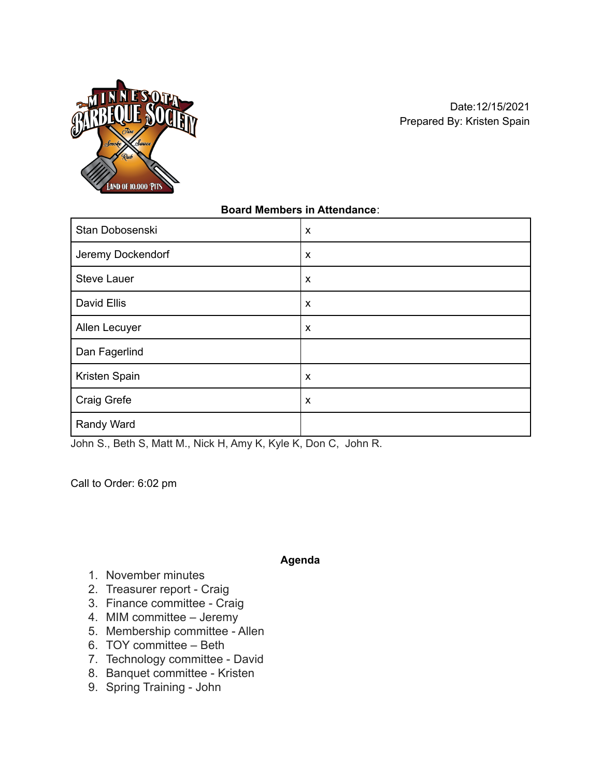

### **Board Members in Attendance**:

| Stan Dobosenski    | $\boldsymbol{\mathsf{x}}$ |
|--------------------|---------------------------|
| Jeremy Dockendorf  | $\boldsymbol{\mathsf{x}}$ |
| <b>Steve Lauer</b> | $\boldsymbol{\mathsf{x}}$ |
| David Ellis        | X                         |
| Allen Lecuyer      | $\boldsymbol{\mathsf{x}}$ |
| Dan Fagerlind      |                           |
| Kristen Spain      | X                         |
| Craig Grefe        | X                         |
| Randy Ward         |                           |

John S., Beth S, Matt M., Nick H, Amy K, Kyle K, Don C, John R.

Call to Order: 6:02 pm

#### **Agenda**

- 1. November minutes
- 2. Treasurer report Craig
- 3. Finance committee Craig
- 4. MIM committee Jeremy
- 5. Membership committee Allen
- 6. TOY committee Beth
- 7. Technology committee David
- 8. Banquet committee Kristen
- 9. Spring Training John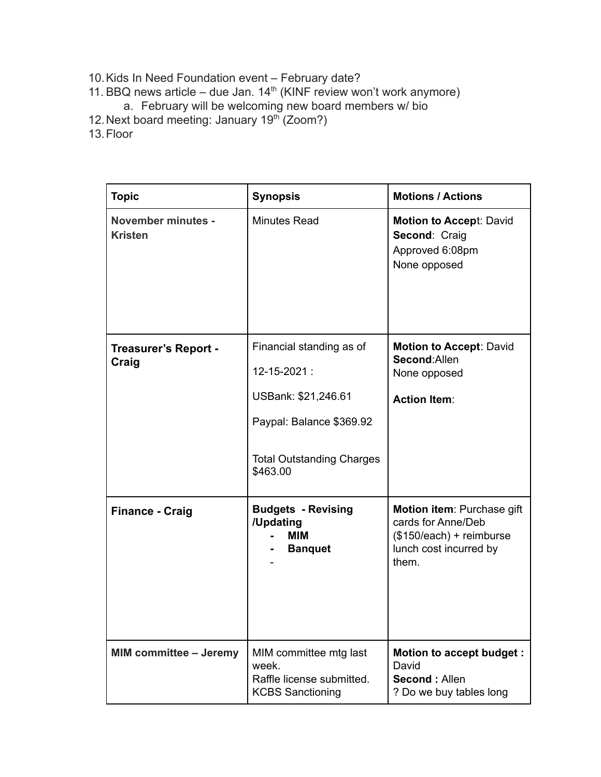- 10.Kids In Need Foundation event February date?
- 11. BBQ news article due Jan.  $14<sup>th</sup>$  (KINF review won't work anymore)
	- a. February will be welcoming new board members w/ bio
- 12. Next board meeting: January 19<sup>th</sup> (Zoom?)
- 13.Floor

| <b>Topic</b>                                | <b>Synopsis</b>                                                                                                                            | <b>Motions / Actions</b>                                                                                        |
|---------------------------------------------|--------------------------------------------------------------------------------------------------------------------------------------------|-----------------------------------------------------------------------------------------------------------------|
| <b>November minutes -</b><br><b>Kristen</b> | <b>Minutes Read</b>                                                                                                                        | <b>Motion to Accept: David</b><br>Second: Craig<br>Approved 6:08pm<br>None opposed                              |
| <b>Treasurer's Report -</b><br>Craig        | Financial standing as of<br>12-15-2021:<br>USBank: \$21,246.61<br>Paypal: Balance \$369.92<br><b>Total Outstanding Charges</b><br>\$463.00 | <b>Motion to Accept: David</b><br>Second: Allen<br>None opposed<br><b>Action Item:</b>                          |
| <b>Finance - Craig</b>                      | <b>Budgets - Revising</b><br>/Updating<br>MIM<br><b>Banquet</b>                                                                            | Motion item: Purchase gift<br>cards for Anne/Deb<br>(\$150/each) + reimburse<br>lunch cost incurred by<br>them. |
| <b>MIM committee - Jeremy</b>               | MIM committee mtg last<br>week.<br>Raffle license submitted.<br><b>KCBS Sanctioning</b>                                                    | Motion to accept budget :<br>David<br>Second: Allen<br>? Do we buy tables long                                  |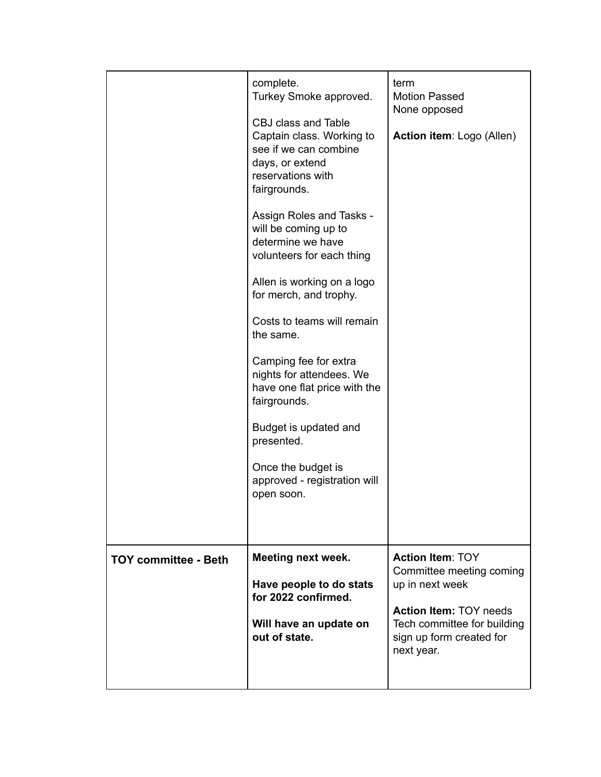|                             | complete.<br>Turkey Smoke approved.<br>CBJ class and Table<br>Captain class. Working to<br>see if we can combine<br>days, or extend<br>reservations with<br>fairgrounds.<br>Assign Roles and Tasks -<br>will be coming up to<br>determine we have<br>volunteers for each thing<br>Allen is working on a logo<br>for merch, and trophy.<br>Costs to teams will remain<br>the same.<br>Camping fee for extra<br>nights for attendees. We<br>have one flat price with the<br>fairgrounds.<br>Budget is updated and<br>presented.<br>Once the budget is<br>approved - registration will<br>open soon. | term<br><b>Motion Passed</b><br>None opposed<br>Action item: Logo (Allen)                                                                                                        |
|-----------------------------|---------------------------------------------------------------------------------------------------------------------------------------------------------------------------------------------------------------------------------------------------------------------------------------------------------------------------------------------------------------------------------------------------------------------------------------------------------------------------------------------------------------------------------------------------------------------------------------------------|----------------------------------------------------------------------------------------------------------------------------------------------------------------------------------|
| <b>TOY committee - Beth</b> | <b>Meeting next week.</b><br>Have people to do stats<br>for 2022 confirmed.<br>Will have an update on<br>out of state.                                                                                                                                                                                                                                                                                                                                                                                                                                                                            | <b>Action Item: TOY</b><br>Committee meeting coming<br>up in next week<br><b>Action Item: TOY needs</b><br>Tech committee for building<br>sign up form created for<br>next year. |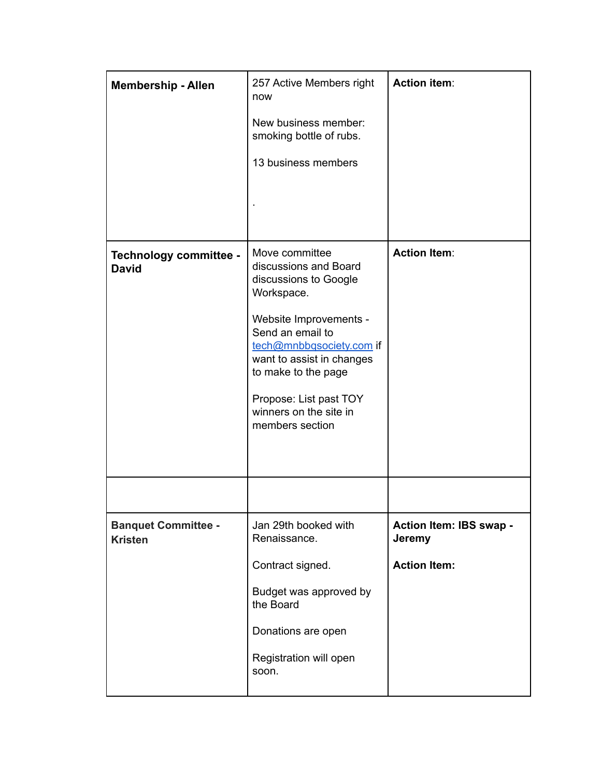| <b>Membership - Allen</b>                    | 257 Active Members right<br>now<br>New business member:<br>smoking bottle of rubs.<br>13 business members                                                                                                                                                                           | <b>Action item:</b>                                             |
|----------------------------------------------|-------------------------------------------------------------------------------------------------------------------------------------------------------------------------------------------------------------------------------------------------------------------------------------|-----------------------------------------------------------------|
| Technology committee -<br><b>David</b>       | Move committee<br>discussions and Board<br>discussions to Google<br>Workspace.<br>Website Improvements -<br>Send an email to<br>tech@mnbbqsociety.com if<br>want to assist in changes<br>to make to the page<br>Propose: List past TOY<br>winners on the site in<br>members section | <b>Action Item:</b>                                             |
|                                              |                                                                                                                                                                                                                                                                                     |                                                                 |
| <b>Banquet Committee -</b><br><b>Kristen</b> | Jan 29th booked with<br>Renaissance.<br>Contract signed.<br>Budget was approved by<br>the Board<br>Donations are open<br>Registration will open<br>soon.                                                                                                                            | Action Item: IBS swap -<br><b>Jeremy</b><br><b>Action Item:</b> |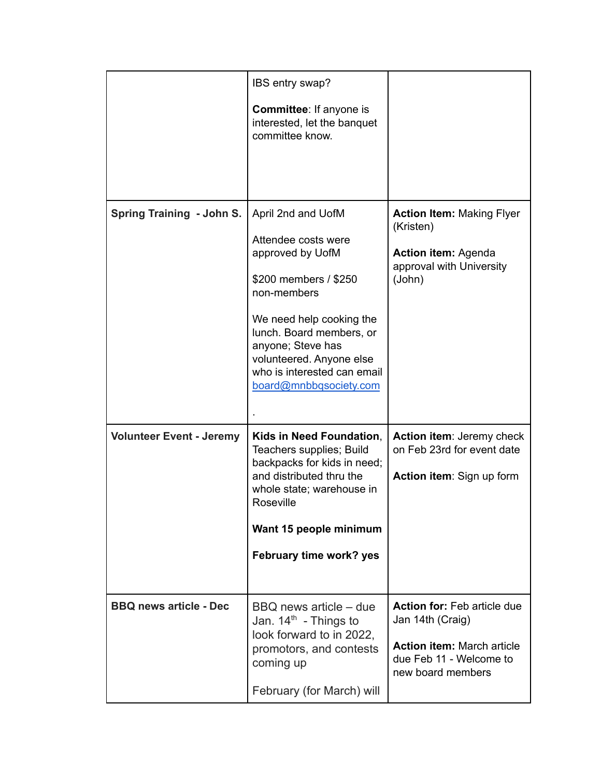|                                 | IBS entry swap?                                                                                                                                                                                                                                                         |                                                                                                                                             |
|---------------------------------|-------------------------------------------------------------------------------------------------------------------------------------------------------------------------------------------------------------------------------------------------------------------------|---------------------------------------------------------------------------------------------------------------------------------------------|
|                                 | <b>Committee:</b> If anyone is<br>interested, let the banquet<br>committee know.                                                                                                                                                                                        |                                                                                                                                             |
| Spring Training - John S.       | April 2nd and UofM<br>Attendee costs were<br>approved by UofM<br>\$200 members / \$250<br>non-members<br>We need help cooking the<br>lunch. Board members, or<br>anyone; Steve has<br>volunteered. Anyone else<br>who is interested can email<br>board@mnbbqsociety.com | <b>Action Item: Making Flyer</b><br>(Kristen)<br><b>Action item: Agenda</b><br>approval with University<br>(John)                           |
| <b>Volunteer Event - Jeremy</b> | Kids in Need Foundation,<br>Teachers supplies; Build<br>backpacks for kids in need;<br>and distributed thru the<br>whole state; warehouse in<br>Roseville<br>Want 15 people minimum<br>February time work? yes                                                          | Action item: Jeremy check<br>on Feb 23rd for event date<br>Action item: Sign up form                                                        |
| <b>BBQ news article - Dec</b>   | BBQ news article – due<br>Jan. $14th$ - Things to<br>look forward to in 2022,<br>promotors, and contests<br>coming up<br>February (for March) will                                                                                                                      | <b>Action for: Feb article due</b><br>Jan 14th (Craig)<br><b>Action item: March article</b><br>due Feb 11 - Welcome to<br>new board members |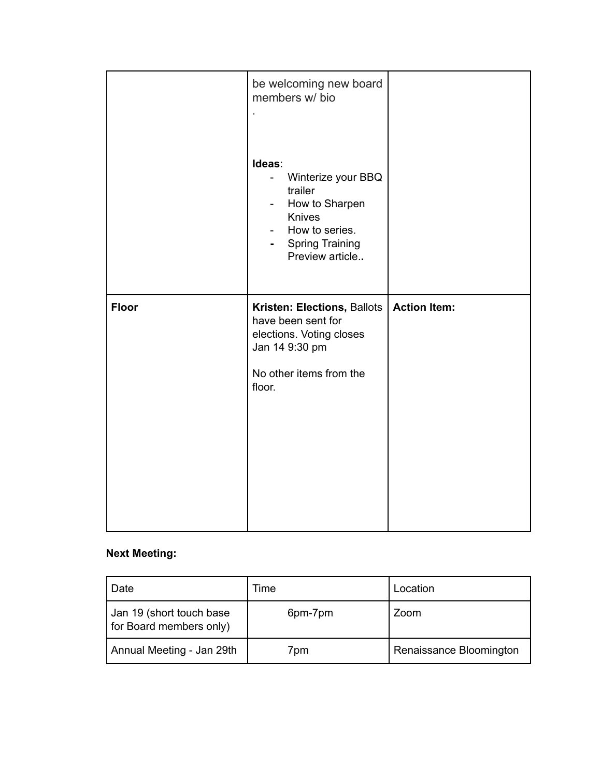|              | be welcoming new board<br>members w/ bio<br>Ideas:<br>Winterize your BBQ<br>$\overline{\phantom{0}}$<br>trailer<br>How to Sharpen<br>$\overline{\phantom{a}}$<br>Knives<br>How to series.<br>$\overline{\phantom{a}}$<br><b>Spring Training</b><br>e i<br>Preview article |                     |
|--------------|---------------------------------------------------------------------------------------------------------------------------------------------------------------------------------------------------------------------------------------------------------------------------|---------------------|
| <b>Floor</b> | Kristen: Elections, Ballots<br>have been sent for<br>elections. Voting closes<br>Jan 14 9:30 pm<br>No other items from the<br>floor.                                                                                                                                      | <b>Action Item:</b> |

# **Next Meeting:**

| Date                                                | Time    | Location                |
|-----------------------------------------------------|---------|-------------------------|
| Jan 19 (short touch base<br>for Board members only) | 6pm-7pm | Zoom                    |
| Annual Meeting - Jan 29th                           | 7pm     | Renaissance Bloomington |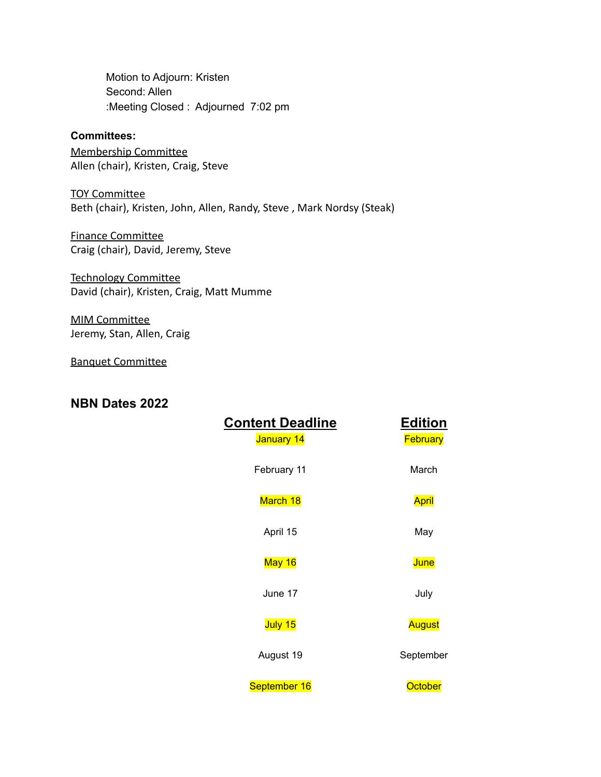Motion to Adjourn: Kristen Second: Allen :Meeting Closed : Adjourned 7:02 pm

### **Committees:**

Membership Committee Allen (chair), Kristen, Craig, Steve

TOY Committee Beth (chair), Kristen, John, Allen, Randy, Steve , Mark Nordsy (Steak)

Finance Committee Craig (chair), David, Jeremy, Steve

Technology Committee David (chair), Kristen, Craig, Matt Mumme

MIM Committee Jeremy, Stan, Allen, Craig

Banquet Committee

## **NBN Dates 2022**

| <b>Content Deadline</b><br>January 14 | <b>Edition</b><br>February |
|---------------------------------------|----------------------------|
| February 11                           | March                      |
| March 18                              | April                      |
| April 15                              | May                        |
| May 16                                | June                       |
| June 17                               | July                       |
| July 15                               | August                     |
| August 19                             | September                  |
| September 16                          | <b>October</b>             |